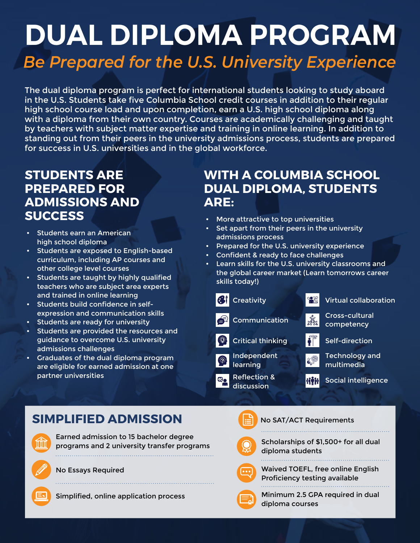# **DUAL DIPLOMA PROGRAM** *Be Prepared for the U.S. University Experience*

The dual diploma program is perfect for international students looking to study aboard in the U.S. Students take five Columbia School credit courses in addition to their regular high school course load and upon completion, earn a U.S. high school diploma along with a diploma from their own country. Courses are academically challenging and taught by teachers with subject matter expertise and training in online learning. In addition to standing out from their peers in the university admissions process, students are prepared for success in U.S. universities and in the global workforce.

## **STUDENTS ARE PREPARED FOR ADMISSIONS AND SUCCESS**

- Students earn an American high school diploma
- Students are exposed to English-based curriculum, including AP courses and other college level courses
- Students are taught by highly qualified teachers who are subject area experts and trained in online learning
- Students build confidence in selfexpression and communication skills
- Students are ready for university
- Students are provided the resources and guidance to overcome U.S. university admissions challenges
- Graduates of the dual diploma program are eligible for earned admission at one partner universities

## **WITH A COLUMBIA SCHOOL DUAL DIPLOMA, STUDENTS ARE:**

- More attractive to top universities
- Set apart from their peers in the university admissions process
- Prepared for the U.S. university experience
- Confident & ready to face challenges
- Learn skills for the U.S. university classrooms and the global career market (Learn tomorrows career skills today!)



## **SIMPLIFIED ADMISSION**

Earned admission to 15 bachelor degree programs and 2 university transfer programs 

No Essays Required





No SAT/ACT Requirements

Scholarships of \$1,500+ for all dual diploma students



Waived TOEFL, free online English Proficiency testing available



Minimum 2.5 GPA required in dual diploma courses